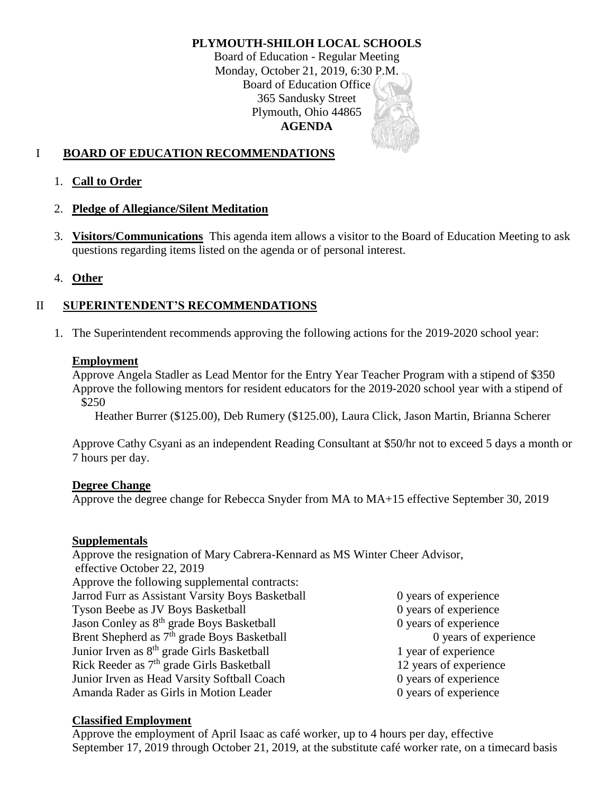# **PLYMOUTH-SHILOH LOCAL SCHOOLS**

Board of Education - Regular Meeting Monday, October 21, 2019, 6:30 P.M. Board of Education Office 365 Sandusky Street Plymouth, Ohio 44865 **AGENDA**

# I **BOARD OF EDUCATION RECOMMENDATIONS**

1. **Call to Order**

## 2. **Pledge of Allegiance/Silent Meditation**

3. **Visitors/Communications** This agenda item allows a visitor to the Board of Education Meeting to ask questions regarding items listed on the agenda or of personal interest.

## 4. **Other**

# II **SUPERINTENDENT'S RECOMMENDATIONS**

1. The Superintendent recommends approving the following actions for the 2019-2020 school year:

#### **Employment**

Approve Angela Stadler as Lead Mentor for the Entry Year Teacher Program with a stipend of \$350 Approve the following mentors for resident educators for the 2019-2020 school year with a stipend of \$250

Heather Burrer (\$125.00), Deb Rumery (\$125.00), Laura Click, Jason Martin, Brianna Scherer

Approve Cathy Csyani as an independent Reading Consultant at \$50/hr not to exceed 5 days a month or 7 hours per day.

#### **Degree Change**

Approve the degree change for Rebecca Snyder from MA to MA+15 effective September 30, 2019

#### **Supplementals**

Approve the resignation of Mary Cabrera-Kennard as MS Winter Cheer Advisor, effective October 22, 2019 Approve the following supplemental contracts: Jarrod Furr as Assistant Varsity Boys Basketball 0 years of experience Tyson Beebe as JV Boys Basketball 0 years of experience Jason Conley as 8<sup>th</sup> grade Boys Basketball 0 years of experience Brent Shepherd as 7<sup>th</sup> grade Boys Basketball 0 years of experience Junior Irven as  $8<sup>th</sup>$  grade Girls Basketball 1 year of experience Rick Reeder as  $7<sup>th</sup>$  grade Girls Basketball 12 years of experience Junior Irven as Head Varsity Softball Coach 0 years of experience Amanda Rader as Girls in Motion Leader 0 years of experience

#### **Classified Employment**

Approve the employment of April Isaac as café worker, up to 4 hours per day, effective September 17, 2019 through October 21, 2019, at the substitute café worker rate, on a timecard basis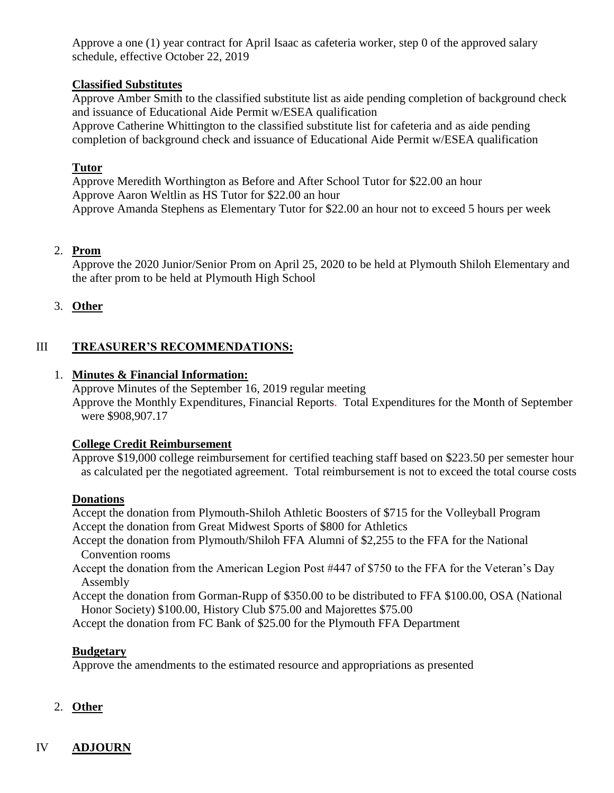Approve a one (1) year contract for April Isaac as cafeteria worker, step 0 of the approved salary schedule, effective October 22, 2019

# **Classified Substitutes**

Approve Amber Smith to the classified substitute list as aide pending completion of background check and issuance of Educational Aide Permit w/ESEA qualification

Approve Catherine Whittington to the classified substitute list for cafeteria and as aide pending completion of background check and issuance of Educational Aide Permit w/ESEA qualification

# **Tutor**

Approve Meredith Worthington as Before and After School Tutor for \$22.00 an hour Approve Aaron Weltlin as HS Tutor for \$22.00 an hour Approve Amanda Stephens as Elementary Tutor for \$22.00 an hour not to exceed 5 hours per week

## 2. **Prom**

Approve the 2020 Junior/Senior Prom on April 25, 2020 to be held at Plymouth Shiloh Elementary and the after prom to be held at Plymouth High School

## 3. **Other**

# III **TREASURER'S RECOMMENDATIONS:**

## 1. **Minutes & Financial Information:**

Approve Minutes of the September 16, 2019 regular meeting Approve the Monthly Expenditures, Financial Reports. Total Expenditures for the Month of September were \$908,907.17

#### **College Credit Reimbursement**

Approve \$19,000 college reimbursement for certified teaching staff based on \$223.50 per semester hour as calculated per the negotiated agreement. Total reimbursement is not to exceed the total course costs

#### **Donations**

Accept the donation from Plymouth-Shiloh Athletic Boosters of \$715 for the Volleyball Program Accept the donation from Great Midwest Sports of \$800 for Athletics

- Accept the donation from Plymouth/Shiloh FFA Alumni of \$2,255 to the FFA for the National Convention rooms
- Accept the donation from the American Legion Post #447 of \$750 to the FFA for the Veteran's Day Assembly

Accept the donation from Gorman-Rupp of \$350.00 to be distributed to FFA \$100.00, OSA (National Honor Society) \$100.00, History Club \$75.00 and Majorettes \$75.00

Accept the donation from FC Bank of \$25.00 for the Plymouth FFA Department

# **Budgetary**

Approve the amendments to the estimated resource and appropriations as presented

#### 2. **Other**

# IV **ADJOURN**